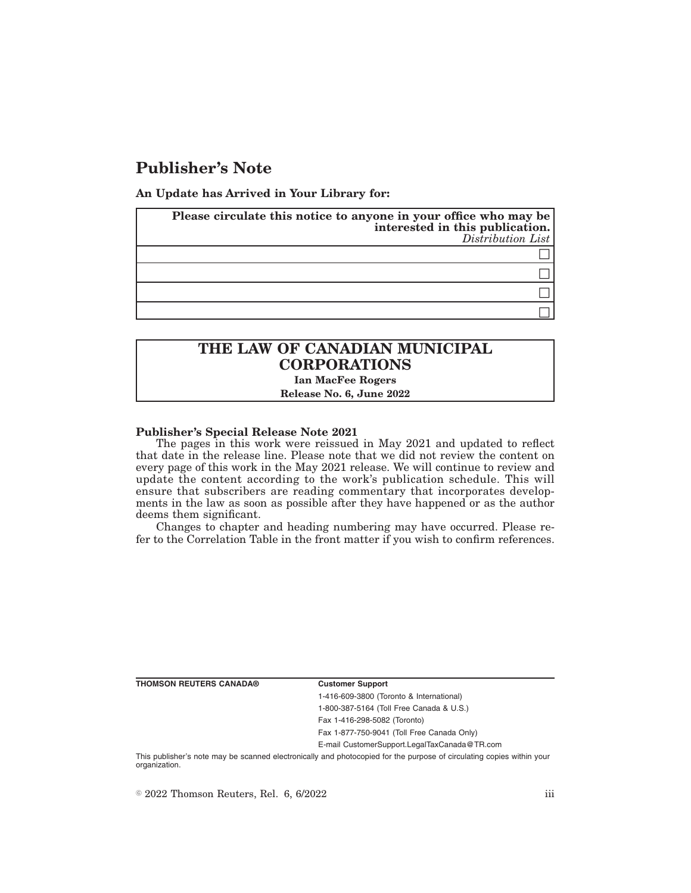## **Publisher's Note**

**An Update has Arrived in Your Library for:**

| Please circulate this notice to anyone in your office who may be<br>interested in this publication.<br>Distribution List |
|--------------------------------------------------------------------------------------------------------------------------|
|                                                                                                                          |
|                                                                                                                          |
|                                                                                                                          |
|                                                                                                                          |

# **THE LAW OF CANADIAN MUNICIPAL CORPORATIONS**

**Ian MacFee Rogers**

**Release No. 6, June 2022**

### **Publisher's Special Release Note 2021**

The pages in this work were reissued in May 2021 and updated to reflect that date in the release line. Please note that we did not review the content on every page of this work in the May 2021 release. We will continue to review and update the content according to the work's publication schedule. This will ensure that subscribers are reading commentary that incorporates developments in the law as soon as possible after they have happened or as the author deems them significant.

Changes to chapter and heading numbering may have occurred. Please refer to the Correlation Table in the front matter if you wish to confirm references.

**THOMSON REUTERS CANADA® Customer Support**

1-416-609-3800 (Toronto & International) 1-800-387-5164 (Toll Free Canada & U.S.) Fax 1-416-298-5082 (Toronto)

Fax 1-877-750-9041 (Toll Free Canada Only)

E-mail CustomerSupport.LegalTaxCanada@TR.com

This publisher's note may be scanned electronically and photocopied for the purpose of circulating copies within your organization.

 $\degree$  2022 Thomson Reuters, Rel. 6, 6/2022 iii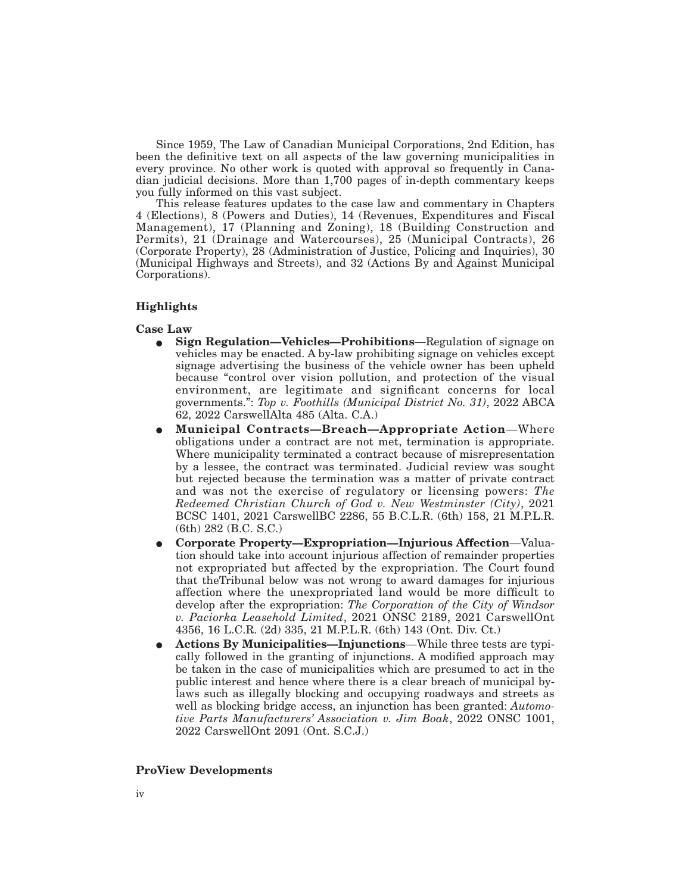Since 1959, The Law of Canadian Municipal Corporations, 2nd Edition, has been the definitive text on all aspects of the law governing municipalities in every province. No other work is quoted with approval so frequently in Canadian judicial decisions. More than 1,700 pages of in-depth commentary keeps you fully informed on this vast subject.

This release features updates to the case law and commentary in Chapters 4 (Elections), 8 (Powers and Duties), 14 (Revenues, Expenditures and Fiscal Management), 17 (Planning and Zoning), 18 (Building Construction and Permits), 21 (Drainage and Watercourses), 25 (Municipal Contracts), 26 (Corporate Property), 28 (Administration of Justice, Policing and Inquiries), 30 (Municipal Highways and Streets), and 32 (Actions By and Against Municipal Corporations).

### **Highlights**

### **Case Law**

- E **Sign Regulation—Vehicles—Prohibitions**—Regulation of signage on vehicles may be enacted. A by-law prohibiting signage on vehicles except signage advertising the business of the vehicle owner has been upheld because "control over vision pollution, and protection of the visual environment, are legitimate and significant concerns for local governments.": *Top v. Foothills (Municipal District No. 31)*, 2022 ABCA 62, 2022 CarswellAlta 485 (Alta. C.A.)
- E **Municipal Contracts—Breach—Appropriate Action**—Where obligations under a contract are not met, termination is appropriate. Where municipality terminated a contract because of misrepresentation by a lessee, the contract was terminated. Judicial review was sought but rejected because the termination was a matter of private contract and was not the exercise of regulatory or licensing powers: *The Redeemed Christian Church of God v. New Westminster (City)*, 2021 BCSC 1401, 2021 CarswellBC 2286, 55 B.C.L.R. (6th) 158, 21 M.P.L.R. (6th) 282 (B.C. S.C.)
- E **Corporate Property—Expropriation—Injurious Affection**—Valuation should take into account injurious affection of remainder properties not expropriated but affected by the expropriation. The Court found that theTribunal below was not wrong to award damages for injurious affection where the unexpropriated land would be more difficult to develop after the expropriation: *The Corporation of the City of Windsor v. Paciorka Leasehold Limited*, 2021 ONSC 2189, 2021 CarswellOnt 4356, 16 L.C.R. (2d) 335, 21 M.P.L.R. (6th) 143 (Ont. Div. Ct.)
- E **Actions By Municipalities—Injunctions**—While three tests are typically followed in the granting of injunctions. A modified approach may be taken in the case of municipalities which are presumed to act in the public interest and hence where there is a clear breach of municipal bylaws such as illegally blocking and occupying roadways and streets as well as blocking bridge access, an injunction has been granted: *Automotive Parts Manufacturers' Association v. Jim Boak*, 2022 ONSC 1001, 2022 CarswellOnt 2091 (Ont. S.C.J.)

### **ProView Developments**